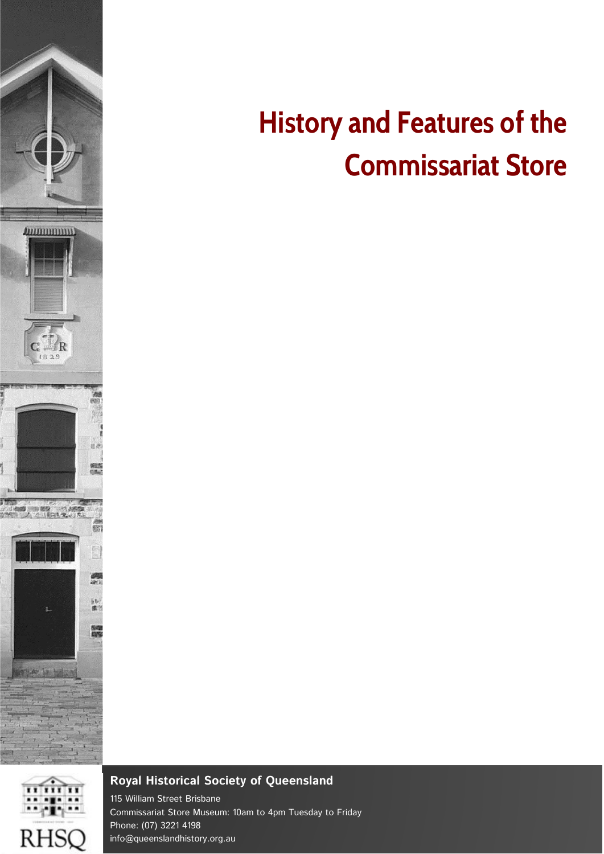

# RHSQ

# **History and Features of the Commissariat Store**

#### **Royal Historical Society of Queensland**

115 William Street Brisbane Commissariat Store Museum: 10am to 4pm Tuesday to Friday Phone: (07) 3221 4198 info@queenslandhistory.org.au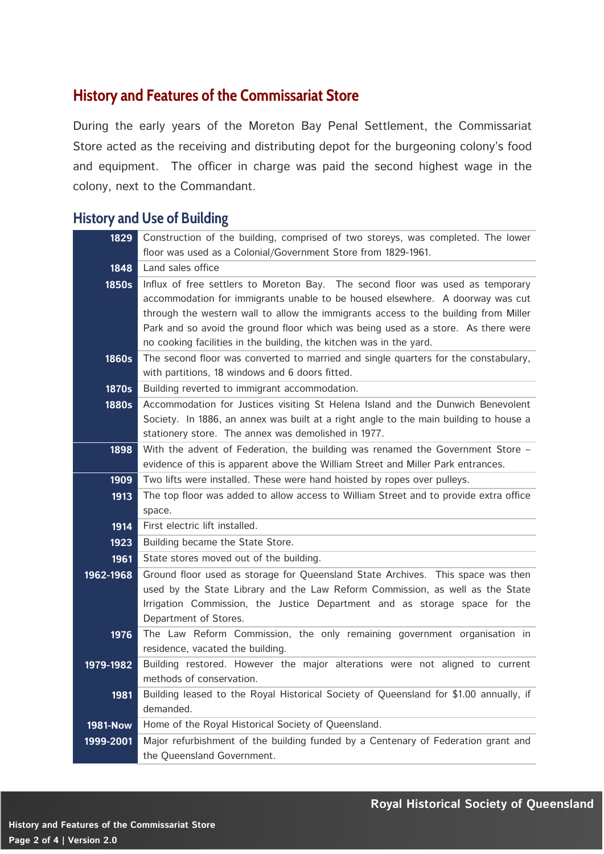## **History and Features of the Commissariat Store**

During the early years of the Moreton Bay Penal Settlement, the Commissariat Store acted as the receiving and distributing depot for the burgeoning colony's food and equipment. The officer in charge was paid the second highest wage in the colony, next to the Commandant.

#### **History and Use of Building**

| 1829            | Construction of the building, comprised of two storeys, was completed. The lower                                                             |
|-----------------|----------------------------------------------------------------------------------------------------------------------------------------------|
|                 | floor was used as a Colonial/Government Store from 1829-1961.                                                                                |
| 1848            | Land sales office                                                                                                                            |
| 1850s           | Influx of free settlers to Moreton Bay. The second floor was used as temporary                                                               |
|                 | accommodation for immigrants unable to be housed elsewhere. A doorway was cut                                                                |
|                 | through the western wall to allow the immigrants access to the building from Miller                                                          |
|                 | Park and so avoid the ground floor which was being used as a store. As there were                                                            |
|                 | no cooking facilities in the building, the kitchen was in the yard.                                                                          |
| <b>1860s</b>    | The second floor was converted to married and single quarters for the constabulary,                                                          |
|                 | with partitions, 18 windows and 6 doors fitted.                                                                                              |
| <b>1870s</b>    | Building reverted to immigrant accommodation.                                                                                                |
| <b>1880s</b>    | Accommodation for Justices visiting St Helena Island and the Dunwich Benevolent                                                              |
|                 | Society. In 1886, an annex was built at a right angle to the main building to house a<br>stationery store. The annex was demolished in 1977. |
| 1898            | With the advent of Federation, the building was renamed the Government Store -                                                               |
|                 | evidence of this is apparent above the William Street and Miller Park entrances.                                                             |
| 1909            | Two lifts were installed. These were hand hoisted by ropes over pulleys.                                                                     |
| 1913            | The top floor was added to allow access to William Street and to provide extra office                                                        |
|                 | space.                                                                                                                                       |
| 1914            | First electric lift installed.                                                                                                               |
| 1923            | Building became the State Store.                                                                                                             |
| 1961            | State stores moved out of the building.                                                                                                      |
| 1962-1968       | Ground floor used as storage for Queensland State Archives. This space was then                                                              |
|                 | used by the State Library and the Law Reform Commission, as well as the State                                                                |
|                 | Irrigation Commission, the Justice Department and as storage space for the                                                                   |
|                 | Department of Stores.                                                                                                                        |
| 1976            | The Law Reform Commission, the only remaining government organisation in                                                                     |
|                 | residence, vacated the building.                                                                                                             |
| 1979-1982       | Building restored. However the major alterations were not aligned to current                                                                 |
|                 | methods of conservation.                                                                                                                     |
| 1981            | Building leased to the Royal Historical Society of Queensland for \$1.00 annually, if                                                        |
|                 | demanded.<br>Home of the Royal Historical Society of Queensland.                                                                             |
| <b>1981-Now</b> |                                                                                                                                              |
|                 |                                                                                                                                              |
| 1999-2001       | Major refurbishment of the building funded by a Centenary of Federation grant and<br>the Queensland Government.                              |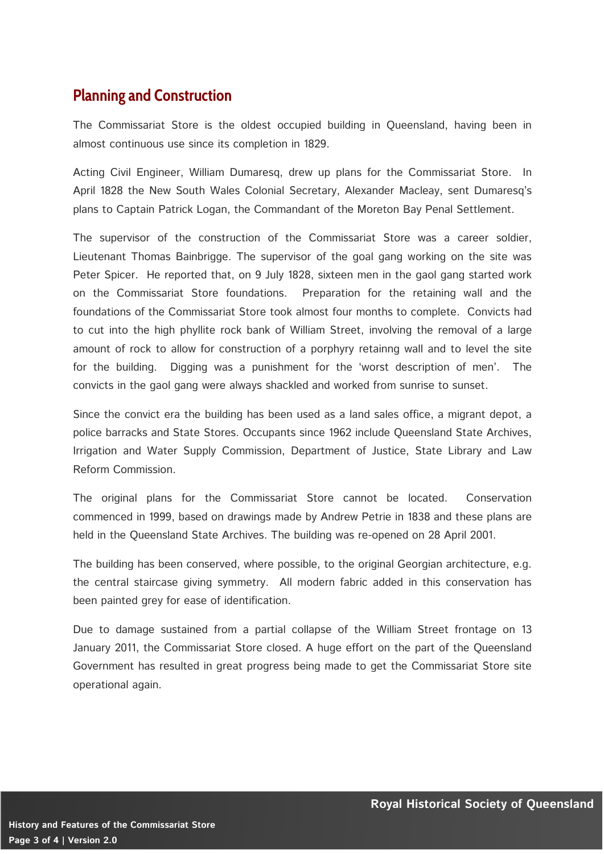#### **Planning and Construction**

The Commissariat Store is the oldest occupied building in Queensland, having been in almost continuous use since its completion in 1829.

Acting Civil Engineer, William Dumaresq, drew up plans for the Commissariat Store. In April 1828 the New South Wales Colonial Secretary, Alexander Macleay, sent Dumaresq's plans to Captain Patrick Logan, the Commandant of the Moreton Bay Penal Settlement.

The supervisor of the construction of the Commissariat Store was a career soldier, Lieutenant Thomas Bainbrigge. The supervisor of the goal gang working on the site was Peter Spicer. He reported that, on 9 July 1828, sixteen men in the gaol gang started work on the Commissariat Store foundations. Preparation for the retaining wall and the foundations of the Commissariat Store took almost four months to complete. Convicts had to cut into the high phyllite rock bank of William Street, involving the removal of a large amount of rock to allow for construction of a porphyry retainng wall and to level the site for the building. Digging was a punishment for the 'worst description of men'. The convicts in the gaol gang were always shackled and worked from sunrise to sunset.

Since the convict era the building has been used as a land sales office, a migrant depot, a police barracks and State Stores. Occupants since 1962 include Queensland State Archives, Irrigation and Water Supply Commission, Department of Justice, State Library and Law Reform Commission.

The original plans for the Commissariat Store cannot be located. Conservation commenced in 1999, based on drawings made by Andrew Petrie in 1838 and these plans are held in the Queensland State Archives. The building was re-opened on 28 April 2001.

The building has been conserved, where possible, to the original Georgian architecture, e.g. the central staircase giving symmetry. All modern fabric added in this conservation has been painted grey for ease of identification.

Due to damage sustained from a partial collapse of the William Street frontage on 13 January 2011, the Commissariat Store closed. A huge effort on the part of the Queensland Government has resulted in great progress being made to get the Commissariat Store site operational again.